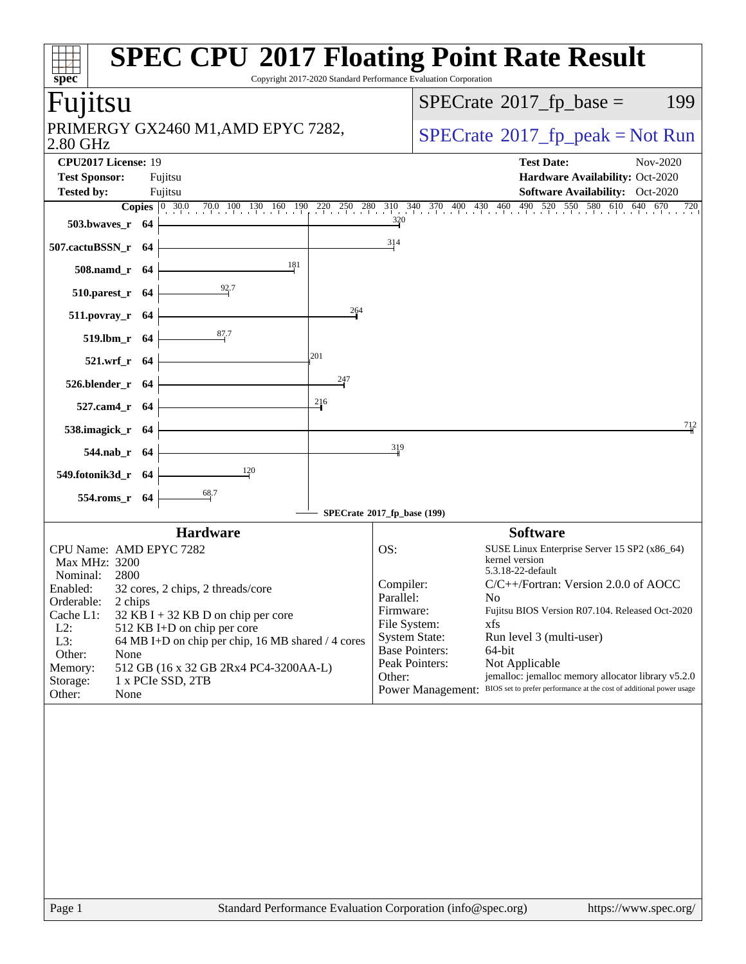| spec                                                                                                                                                           | <b>SPEC CPU®2017 Floating Point Rate Result</b><br>Copyright 2017-2020 Standard Performance Evaluation Corporation                                     |
|----------------------------------------------------------------------------------------------------------------------------------------------------------------|--------------------------------------------------------------------------------------------------------------------------------------------------------|
| Fujitsu                                                                                                                                                        | $SPECrate^{\circ}2017$ _fp_base =<br>199                                                                                                               |
| PRIMERGY GX2460 M1, AMD EPYC 7282,<br>2.80 GHz                                                                                                                 | $SPECrate^{\circ}2017$ _fp_peak = Not Run                                                                                                              |
| CPU2017 License: 19<br><b>Test Sponsor:</b><br>Fujitsu                                                                                                         | <b>Test Date:</b><br>Nov-2020<br>Hardware Availability: Oct-2020                                                                                       |
| <b>Tested by:</b><br>Fujitsu                                                                                                                                   | Software Availability: Oct-2020                                                                                                                        |
| <b>Copies</b> $\begin{bmatrix} 0 & 30.0 & 70.0 & 100 & 130 & 160 & 190 & 220 & 250 & 280 & 310 & 340 & 370 & 400 & 430 & 460 \end{bmatrix}$<br>503.bwaves_r 64 | 490 520 550 580 610 640 670<br>720<br>$\frac{320}{4}$                                                                                                  |
| 507.cactuBSSN_r 64                                                                                                                                             | 314                                                                                                                                                    |
| 181<br>508.namd_r 64                                                                                                                                           |                                                                                                                                                        |
| $\frac{92}{7}$<br>$510.parest_r$ 64                                                                                                                            |                                                                                                                                                        |
| 264<br>511.povray_r 64                                                                                                                                         |                                                                                                                                                        |
| $\frac{87.7}{4}$<br>519.lbm_r 64                                                                                                                               |                                                                                                                                                        |
| 201<br>521.wrf_r 64<br>247                                                                                                                                     |                                                                                                                                                        |
| 526.blender_r 64<br>216                                                                                                                                        |                                                                                                                                                        |
| 527.cam4_r 64<br>538.imagick_r 64                                                                                                                              | 712                                                                                                                                                    |
| 544.nab_r 64                                                                                                                                                   | 319                                                                                                                                                    |
| $\frac{120}{2}$<br>549.fotonik3d_r 64                                                                                                                          |                                                                                                                                                        |
| 68.7<br>554.roms_r 64                                                                                                                                          |                                                                                                                                                        |
|                                                                                                                                                                | SPECrate®2017_fp_base (199)                                                                                                                            |
| <b>Hardware</b>                                                                                                                                                | <b>Software</b>                                                                                                                                        |
| CPU Name: AMD EPYC 7282<br>Max MHz: 3200<br>2800<br>Nominal:                                                                                                   | OS:<br>SUSE Linux Enterprise Server 15 SP2 (x86_64)<br>kernel version<br>5.3.18-22-default                                                             |
| 32 cores, 2 chips, 2 threads/core<br>Enabled:<br>Orderable:<br>2 chips                                                                                         | Compiler:<br>C/C++/Fortran: Version 2.0.0 of AOCC<br>Parallel:<br>No                                                                                   |
| Cache L1:<br>$32$ KB I + 32 KB D on chip per core<br>$L2$ :<br>512 KB I+D on chip per core                                                                     | Fujitsu BIOS Version R07.104. Released Oct-2020<br>Firmware:<br>File System:<br>xfs                                                                    |
| L3:<br>64 MB I+D on chip per chip, 16 MB shared / 4 cores                                                                                                      | <b>System State:</b><br>Run level 3 (multi-user)<br><b>Base Pointers:</b><br>64-bit                                                                    |
| Other:<br>None<br>512 GB (16 x 32 GB 2Rx4 PC4-3200AA-L)<br>Memory:                                                                                             | Peak Pointers:<br>Not Applicable                                                                                                                       |
| Storage:<br>1 x PCIe SSD, 2TB<br>Other:<br>None                                                                                                                | jemalloc: jemalloc memory allocator library v5.2.0<br>Other:<br>Power Management: BIOS set to prefer performance at the cost of additional power usage |
|                                                                                                                                                                |                                                                                                                                                        |
| Page 1                                                                                                                                                         | Standard Performance Evaluation Corporation (info@spec.org)<br>https://www.spec.org/                                                                   |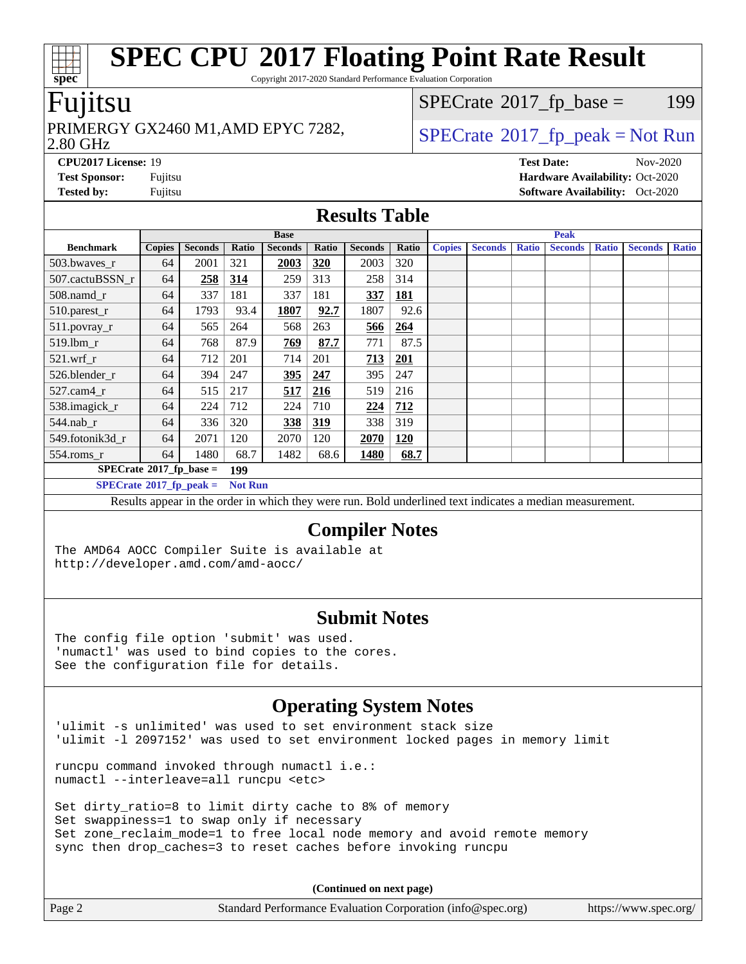Copyright 2017-2020 Standard Performance Evaluation Corporation

### Fujitsu

#### 2.80 GHz PRIMERGY GX2460 M1,AMD EPYC 7282,  $\vert$  [SPECrate](http://www.spec.org/auto/cpu2017/Docs/result-fields.html#SPECrate2017fppeak)®[2017\\_fp\\_peak = N](http://www.spec.org/auto/cpu2017/Docs/result-fields.html#SPECrate2017fppeak)ot Run

 $SPECTate@2017_fp\_base = 199$ 

**[CPU2017 License:](http://www.spec.org/auto/cpu2017/Docs/result-fields.html#CPU2017License)** 19 **[Test Date:](http://www.spec.org/auto/cpu2017/Docs/result-fields.html#TestDate)** Nov-2020 **[Test Sponsor:](http://www.spec.org/auto/cpu2017/Docs/result-fields.html#TestSponsor)** Fujitsu **[Hardware Availability:](http://www.spec.org/auto/cpu2017/Docs/result-fields.html#HardwareAvailability)** Oct-2020 **[Tested by:](http://www.spec.org/auto/cpu2017/Docs/result-fields.html#Testedby)** Fujitsu **Fugital Exception Contract Contract Contract Contract Contract Contract Contract Contract Contract Contract Contract Contract Contract Contract Contract Contract Contract Contract Contract Contract Co** 

#### **[Results Table](http://www.spec.org/auto/cpu2017/Docs/result-fields.html#ResultsTable)**

|                                   | <b>Base</b>   |                |                |                | <b>Peak</b> |                |            |               |                |              |                |              |                |              |
|-----------------------------------|---------------|----------------|----------------|----------------|-------------|----------------|------------|---------------|----------------|--------------|----------------|--------------|----------------|--------------|
| <b>Benchmark</b>                  | <b>Copies</b> | <b>Seconds</b> | Ratio          | <b>Seconds</b> | Ratio       | <b>Seconds</b> | Ratio      | <b>Copies</b> | <b>Seconds</b> | <b>Ratio</b> | <b>Seconds</b> | <b>Ratio</b> | <b>Seconds</b> | <b>Ratio</b> |
| 503.bwayes_r                      | 64            | 2001           | 321            | 2003           | <b>320</b>  | 2003           | 320        |               |                |              |                |              |                |              |
| 507.cactuBSSN r                   | 64            | 258            | <u>314</u>     | 259            | 313         | 258            | 314        |               |                |              |                |              |                |              |
| $508$ .namd $r$                   | 64            | 337            | 181            | 337            | 181         | 337            | <b>181</b> |               |                |              |                |              |                |              |
| 510.parest_r                      | 64            | 1793           | 93.4           | 1807           | 92.7        | 1807           | 92.6       |               |                |              |                |              |                |              |
| 511.povray_r                      | 64            | 565            | 264            | 568            | 263         | <u>566</u>     | 264        |               |                |              |                |              |                |              |
| 519.lbm_r                         | 64            | 768            | 87.9           | 769            | 87.7        | 771            | 87.5       |               |                |              |                |              |                |              |
| $521$ .wrf r                      | 64            | 712            | 201            | 714            | 201         | 713            | 201        |               |                |              |                |              |                |              |
| 526.blender r                     | 64            | 394            | 247            | <u>395</u>     | 247         | 395            | 247        |               |                |              |                |              |                |              |
| $527.cam4_r$                      | 64            | 515            | 217            | 517            | 216         | 519            | 216        |               |                |              |                |              |                |              |
| 538.imagick_r                     | 64            | 224            | 712            | 224            | 710         | 224            | 712        |               |                |              |                |              |                |              |
| $544$ .nab_r                      | 64            | 336            | 320            | 338            | 319         | 338            | 319        |               |                |              |                |              |                |              |
| 549.fotonik3d r                   | 64            | 2071           | 120            | 2070           | 120         | 2070           | <b>120</b> |               |                |              |                |              |                |              |
| $554$ .roms_r                     | 64            | 1480           | 68.7           | 1482           | 68.6        | 1480           | 68.7       |               |                |              |                |              |                |              |
| $SPECrate*2017_fp\_base =$        |               |                | 199            |                |             |                |            |               |                |              |                |              |                |              |
| $SPECrate^{\circ}2017$ _fp_peak = |               |                | <b>Not Run</b> |                |             |                |            |               |                |              |                |              |                |              |

Results appear in the [order in which they were run.](http://www.spec.org/auto/cpu2017/Docs/result-fields.html#RunOrder) Bold underlined text [indicates a median measurement.](http://www.spec.org/auto/cpu2017/Docs/result-fields.html#Median)

#### **[Compiler Notes](http://www.spec.org/auto/cpu2017/Docs/result-fields.html#CompilerNotes)**

The AMD64 AOCC Compiler Suite is available at <http://developer.amd.com/amd-aocc/>

#### **[Submit Notes](http://www.spec.org/auto/cpu2017/Docs/result-fields.html#SubmitNotes)**

The config file option 'submit' was used. 'numactl' was used to bind copies to the cores. See the configuration file for details.

#### **[Operating System Notes](http://www.spec.org/auto/cpu2017/Docs/result-fields.html#OperatingSystemNotes)**

'ulimit -s unlimited' was used to set environment stack size 'ulimit -l 2097152' was used to set environment locked pages in memory limit

runcpu command invoked through numactl i.e.: numactl --interleave=all runcpu <etc>

Set dirty\_ratio=8 to limit dirty cache to 8% of memory Set swappiness=1 to swap only if necessary Set zone\_reclaim\_mode=1 to free local node memory and avoid remote memory sync then drop\_caches=3 to reset caches before invoking runcpu

**(Continued on next page)**

| Page 2 | Standard Performance Evaluation Corporation (info@spec.org) | https://www.spec.org/ |
|--------|-------------------------------------------------------------|-----------------------|
|--------|-------------------------------------------------------------|-----------------------|

**[spec](http://www.spec.org/)**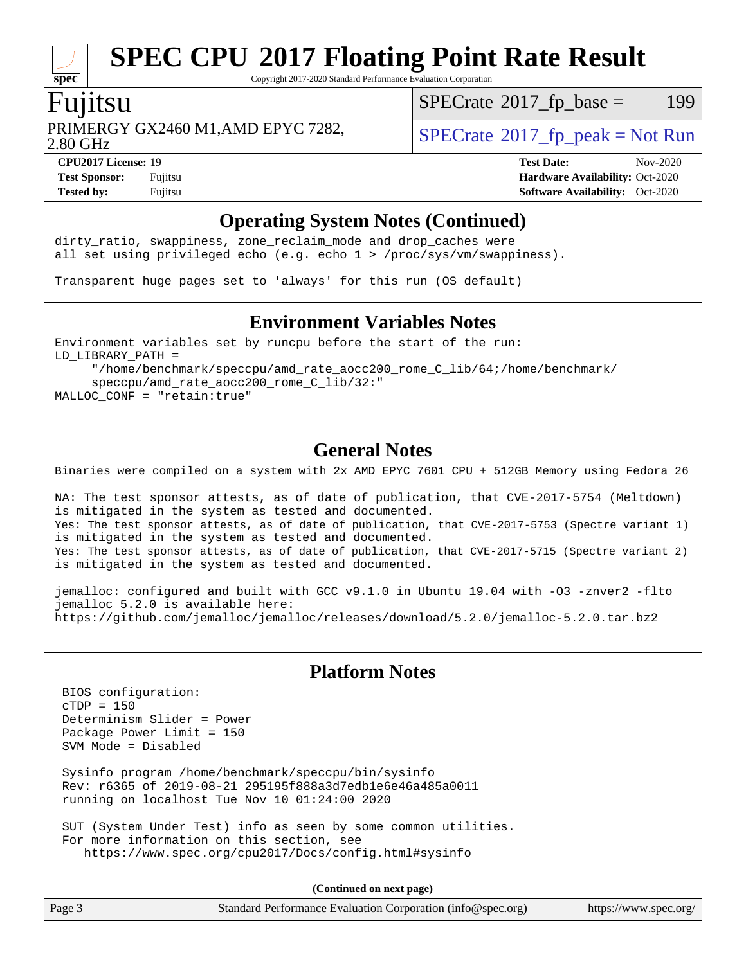Copyright 2017-2020 Standard Performance Evaluation Corporation

### Fujitsu

**[spec](http://www.spec.org/)**

PRIMERGY GX2460 M1,AMD EPYC 7282,  $\vert$  [SPECrate](http://www.spec.org/auto/cpu2017/Docs/result-fields.html#SPECrate2017fppeak) 2017 fp peak = Not Run

 $SPECTate@2017_fp\_base = 199$ 

2.80 GHz

**[Tested by:](http://www.spec.org/auto/cpu2017/Docs/result-fields.html#Testedby)** Fujitsu **[Software Availability:](http://www.spec.org/auto/cpu2017/Docs/result-fields.html#SoftwareAvailability)** Oct-2020

**[CPU2017 License:](http://www.spec.org/auto/cpu2017/Docs/result-fields.html#CPU2017License)** 19 **[Test Date:](http://www.spec.org/auto/cpu2017/Docs/result-fields.html#TestDate)** Nov-2020 **[Test Sponsor:](http://www.spec.org/auto/cpu2017/Docs/result-fields.html#TestSponsor)** Fujitsu **[Hardware Availability:](http://www.spec.org/auto/cpu2017/Docs/result-fields.html#HardwareAvailability)** Oct-2020

#### **[Operating System Notes \(Continued\)](http://www.spec.org/auto/cpu2017/Docs/result-fields.html#OperatingSystemNotes)**

dirty\_ratio, swappiness, zone\_reclaim\_mode and drop caches were all set using privileged echo (e.g. echo 1 > /proc/sys/vm/swappiness).

Transparent huge pages set to 'always' for this run (OS default)

#### **[Environment Variables Notes](http://www.spec.org/auto/cpu2017/Docs/result-fields.html#EnvironmentVariablesNotes)**

Environment variables set by runcpu before the start of the run: LD\_LIBRARY\_PATH =

 "/home/benchmark/speccpu/amd\_rate\_aocc200\_rome\_C\_lib/64;/home/benchmark/ speccpu/amd\_rate\_aocc200\_rome\_C\_lib/32:" MALLOC\_CONF = "retain:true"

#### **[General Notes](http://www.spec.org/auto/cpu2017/Docs/result-fields.html#GeneralNotes)**

Binaries were compiled on a system with 2x AMD EPYC 7601 CPU + 512GB Memory using Fedora 26

NA: The test sponsor attests, as of date of publication, that CVE-2017-5754 (Meltdown) is mitigated in the system as tested and documented. Yes: The test sponsor attests, as of date of publication, that CVE-2017-5753 (Spectre variant 1) is mitigated in the system as tested and documented. Yes: The test sponsor attests, as of date of publication, that CVE-2017-5715 (Spectre variant 2) is mitigated in the system as tested and documented.

jemalloc: configured and built with GCC v9.1.0 in Ubuntu 19.04 with -O3 -znver2 -flto jemalloc 5.2.0 is available here: <https://github.com/jemalloc/jemalloc/releases/download/5.2.0/jemalloc-5.2.0.tar.bz2>

#### **[Platform Notes](http://www.spec.org/auto/cpu2017/Docs/result-fields.html#PlatformNotes)**

 BIOS configuration: cTDP = 150 Determinism Slider = Power Package Power Limit = 150 SVM Mode = Disabled

 Sysinfo program /home/benchmark/speccpu/bin/sysinfo Rev: r6365 of 2019-08-21 295195f888a3d7edb1e6e46a485a0011 running on localhost Tue Nov 10 01:24:00 2020

 SUT (System Under Test) info as seen by some common utilities. For more information on this section, see <https://www.spec.org/cpu2017/Docs/config.html#sysinfo>

**(Continued on next page)**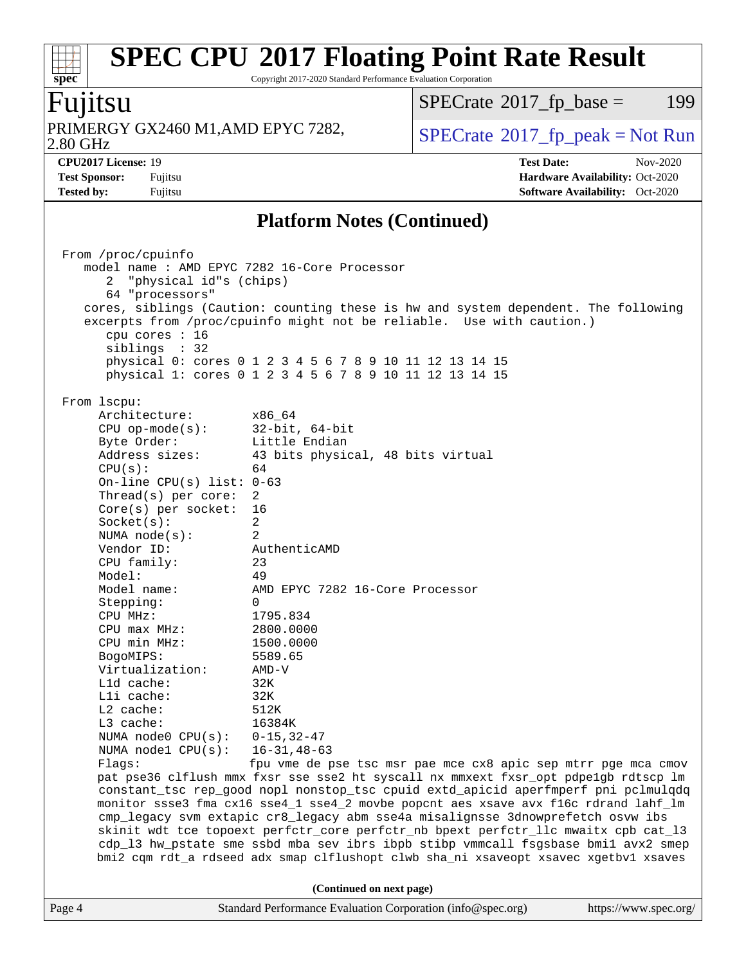Copyright 2017-2020 Standard Performance Evaluation Corporation

### Fujitsu

**[spec](http://www.spec.org/)**

2.80 GHz PRIMERGY GX2460 M1,AMD EPYC 7282,  $\big|$  [SPECrate](http://www.spec.org/auto/cpu2017/Docs/result-fields.html#SPECrate2017fppeak)®[2017\\_fp\\_peak = N](http://www.spec.org/auto/cpu2017/Docs/result-fields.html#SPECrate2017fppeak)ot Run

 $SPECTate$ <sup>®</sup>[2017\\_fp\\_base =](http://www.spec.org/auto/cpu2017/Docs/result-fields.html#SPECrate2017fpbase) 199

**[CPU2017 License:](http://www.spec.org/auto/cpu2017/Docs/result-fields.html#CPU2017License)** 19 **[Test Date:](http://www.spec.org/auto/cpu2017/Docs/result-fields.html#TestDate)** Nov-2020 **[Test Sponsor:](http://www.spec.org/auto/cpu2017/Docs/result-fields.html#TestSponsor)** Fujitsu **[Hardware Availability:](http://www.spec.org/auto/cpu2017/Docs/result-fields.html#HardwareAvailability)** Oct-2020 **[Tested by:](http://www.spec.org/auto/cpu2017/Docs/result-fields.html#Testedby)** Fujitsu **[Software Availability:](http://www.spec.org/auto/cpu2017/Docs/result-fields.html#SoftwareAvailability)** Oct-2020

#### **[Platform Notes \(Continued\)](http://www.spec.org/auto/cpu2017/Docs/result-fields.html#PlatformNotes)**

|        | From /proc/cpuinfo                           |                                                                                                                                                             |                       |  |  |  |
|--------|----------------------------------------------|-------------------------------------------------------------------------------------------------------------------------------------------------------------|-----------------------|--|--|--|
|        | model name : AMD EPYC 7282 16-Core Processor |                                                                                                                                                             |                       |  |  |  |
|        | 2 "physical id"s (chips)                     |                                                                                                                                                             |                       |  |  |  |
|        | 64 "processors"                              |                                                                                                                                                             |                       |  |  |  |
|        |                                              | cores, siblings (Caution: counting these is hw and system dependent. The following<br>excerpts from /proc/cpuinfo might not be reliable. Use with caution.) |                       |  |  |  |
|        | cpu cores $: 16$                             |                                                                                                                                                             |                       |  |  |  |
|        | siblings : 32                                |                                                                                                                                                             |                       |  |  |  |
|        |                                              | physical 0: cores 0 1 2 3 4 5 6 7 8 9 10 11 12 13 14 15                                                                                                     |                       |  |  |  |
|        |                                              | physical 1: cores 0 1 2 3 4 5 6 7 8 9 10 11 12 13 14 15                                                                                                     |                       |  |  |  |
|        | From 1scpu:                                  |                                                                                                                                                             |                       |  |  |  |
|        | Architecture:                                | x86 64                                                                                                                                                      |                       |  |  |  |
|        | $CPU$ op-mode( $s$ ):                        | 32-bit, 64-bit                                                                                                                                              |                       |  |  |  |
|        | Byte Order:                                  | Little Endian                                                                                                                                               |                       |  |  |  |
|        | Address sizes:                               | 43 bits physical, 48 bits virtual                                                                                                                           |                       |  |  |  |
|        | CPU(s):                                      | 64                                                                                                                                                          |                       |  |  |  |
|        | On-line CPU(s) list: $0-63$                  |                                                                                                                                                             |                       |  |  |  |
|        | Thread( $s$ ) per core:                      | 2                                                                                                                                                           |                       |  |  |  |
|        |                                              | 16                                                                                                                                                          |                       |  |  |  |
|        | $Core(s)$ per socket:                        | $\overline{2}$                                                                                                                                              |                       |  |  |  |
|        | Socket(s):                                   | 2                                                                                                                                                           |                       |  |  |  |
|        | NUMA node(s):                                |                                                                                                                                                             |                       |  |  |  |
|        | Vendor ID:                                   | AuthenticAMD                                                                                                                                                |                       |  |  |  |
|        | CPU family:                                  | 23                                                                                                                                                          |                       |  |  |  |
|        | Model:                                       | 49                                                                                                                                                          |                       |  |  |  |
|        | Model name:                                  | AMD EPYC 7282 16-Core Processor                                                                                                                             |                       |  |  |  |
|        | Stepping:                                    | $\Omega$                                                                                                                                                    |                       |  |  |  |
|        | CPU MHz:                                     | 1795.834                                                                                                                                                    |                       |  |  |  |
|        | $CPU$ max $MHz$ :                            | 2800.0000                                                                                                                                                   |                       |  |  |  |
|        | CPU min MHz:                                 | 1500.0000                                                                                                                                                   |                       |  |  |  |
|        | BogoMIPS:                                    | 5589.65                                                                                                                                                     |                       |  |  |  |
|        | Virtualization:                              | AMD-V                                                                                                                                                       |                       |  |  |  |
|        | L1d cache:                                   | 32K                                                                                                                                                         |                       |  |  |  |
|        | Lli cache:                                   | 32K                                                                                                                                                         |                       |  |  |  |
|        | $L2$ cache:                                  | 512K                                                                                                                                                        |                       |  |  |  |
|        | L3 cache:                                    | 16384K                                                                                                                                                      |                       |  |  |  |
|        | NUMA node0 $CPU(s): 0-15, 32-47$             |                                                                                                                                                             |                       |  |  |  |
|        | NUMA $node1$ $CPU(s)$ :                      | 16-31,48-63                                                                                                                                                 |                       |  |  |  |
|        | Flaqs:                                       | fpu vme de pse tsc msr pae mce cx8 apic sep mtrr pge mca cmov                                                                                               |                       |  |  |  |
|        |                                              | pat pse36 clflush mmx fxsr sse sse2 ht syscall nx mmxext fxsr_opt pdpe1gb rdtscp lm                                                                         |                       |  |  |  |
|        |                                              | constant_tsc rep_good nopl nonstop_tsc cpuid extd_apicid aperfmperf pni pclmulqdq                                                                           |                       |  |  |  |
|        |                                              | monitor ssse3 fma cx16 sse4_1 sse4_2 movbe popcnt aes xsave avx f16c rdrand lahf_lm                                                                         |                       |  |  |  |
|        |                                              | cmp_legacy svm extapic cr8_legacy abm sse4a misalignsse 3dnowprefetch osvw ibs                                                                              |                       |  |  |  |
|        |                                              | skinit wdt tce topoext perfctr_core perfctr_nb bpext perfctr_llc mwaitx cpb cat_13                                                                          |                       |  |  |  |
|        |                                              | cdp_13 hw_pstate sme ssbd mba sev ibrs ibpb stibp vmmcall fsgsbase bmil avx2 smep                                                                           |                       |  |  |  |
|        |                                              | bmi2 cqm rdt_a rdseed adx smap clflushopt clwb sha_ni xsaveopt xsavec xgetbvl xsaves                                                                        |                       |  |  |  |
|        |                                              |                                                                                                                                                             |                       |  |  |  |
|        |                                              | (Continued on next page)                                                                                                                                    |                       |  |  |  |
| Page 4 |                                              | Standard Performance Evaluation Corporation (info@spec.org)                                                                                                 | https://www.spec.org/ |  |  |  |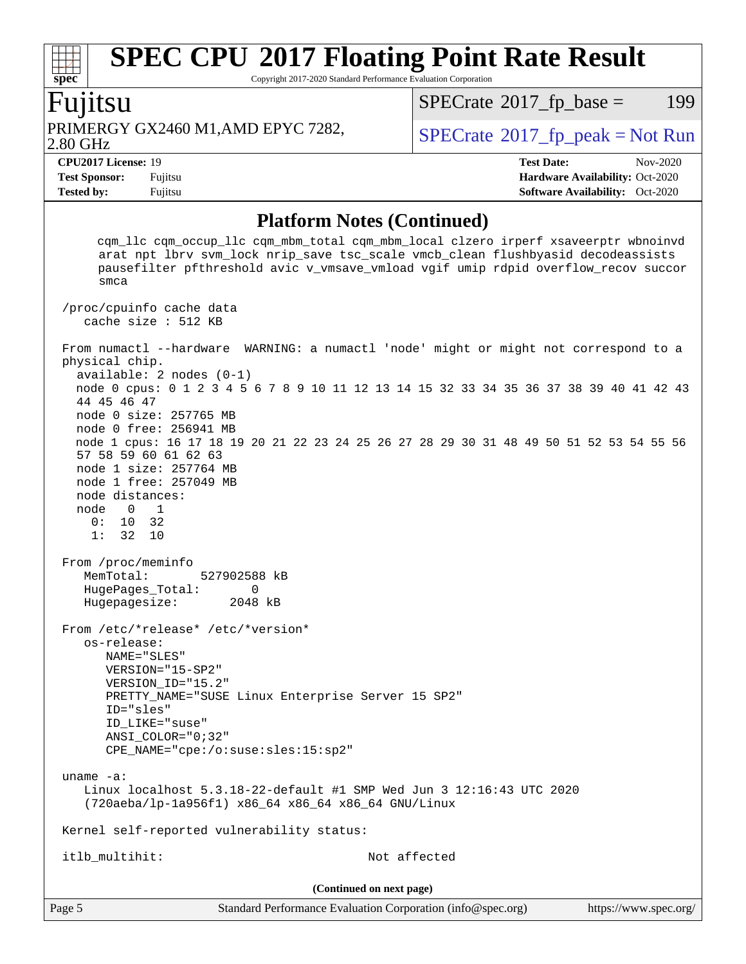Copyright 2017-2020 Standard Performance Evaluation Corporation

#### Fujitsu

**[spec](http://www.spec.org/)**

2.80 GHz PRIMERGY GX2460 M1,AMD EPYC 7282,  $\vert$  [SPECrate](http://www.spec.org/auto/cpu2017/Docs/result-fields.html#SPECrate2017fppeak) [2017\\_fp\\_peak = N](http://www.spec.org/auto/cpu2017/Docs/result-fields.html#SPECrate2017fppeak)ot Run

 $SPECTate@2017_fp\_base = 199$ 

**[CPU2017 License:](http://www.spec.org/auto/cpu2017/Docs/result-fields.html#CPU2017License)** 19 **[Test Date:](http://www.spec.org/auto/cpu2017/Docs/result-fields.html#TestDate)** Nov-2020 **[Test Sponsor:](http://www.spec.org/auto/cpu2017/Docs/result-fields.html#TestSponsor)** Fujitsu **[Hardware Availability:](http://www.spec.org/auto/cpu2017/Docs/result-fields.html#HardwareAvailability)** Oct-2020 **[Tested by:](http://www.spec.org/auto/cpu2017/Docs/result-fields.html#Testedby)** Fujitsu **[Software Availability:](http://www.spec.org/auto/cpu2017/Docs/result-fields.html#SoftwareAvailability)** Oct-2020

#### **[Platform Notes \(Continued\)](http://www.spec.org/auto/cpu2017/Docs/result-fields.html#PlatformNotes)**

Page 5 Standard Performance Evaluation Corporation [\(info@spec.org\)](mailto:info@spec.org) <https://www.spec.org/> cqm\_llc cqm\_occup\_llc cqm\_mbm\_total cqm\_mbm\_local clzero irperf xsaveerptr wbnoinvd arat npt lbrv svm\_lock nrip\_save tsc\_scale vmcb\_clean flushbyasid decodeassists pausefilter pfthreshold avic v\_vmsave\_vmload vgif umip rdpid overflow\_recov succor smca /proc/cpuinfo cache data cache size : 512 KB From numactl --hardware WARNING: a numactl 'node' might or might not correspond to a physical chip. available: 2 nodes (0-1) node 0 cpus: 0 1 2 3 4 5 6 7 8 9 10 11 12 13 14 15 32 33 34 35 36 37 38 39 40 41 42 43 44 45 46 47 node 0 size: 257765 MB node 0 free: 256941 MB node 1 cpus: 16 17 18 19 20 21 22 23 24 25 26 27 28 29 30 31 48 49 50 51 52 53 54 55 56 57 58 59 60 61 62 63 node 1 size: 257764 MB node 1 free: 257049 MB node distances: node 0 1 0: 10 32 1: 32 10 From /proc/meminfo MemTotal: 527902588 kB HugePages\_Total: 0 Hugepagesize: 2048 kB From /etc/\*release\* /etc/\*version\* os-release: NAME="SLES" VERSION="15-SP2" VERSION\_ID="15.2" PRETTY\_NAME="SUSE Linux Enterprise Server 15 SP2" ID="sles" ID\_LIKE="suse" ANSI\_COLOR="0;32" CPE\_NAME="cpe:/o:suse:sles:15:sp2" uname -a: Linux localhost 5.3.18-22-default #1 SMP Wed Jun 3 12:16:43 UTC 2020 (720aeba/lp-1a956f1) x86\_64 x86\_64 x86\_64 GNU/Linux Kernel self-reported vulnerability status: itlb\_multihit: Not affected **(Continued on next page)**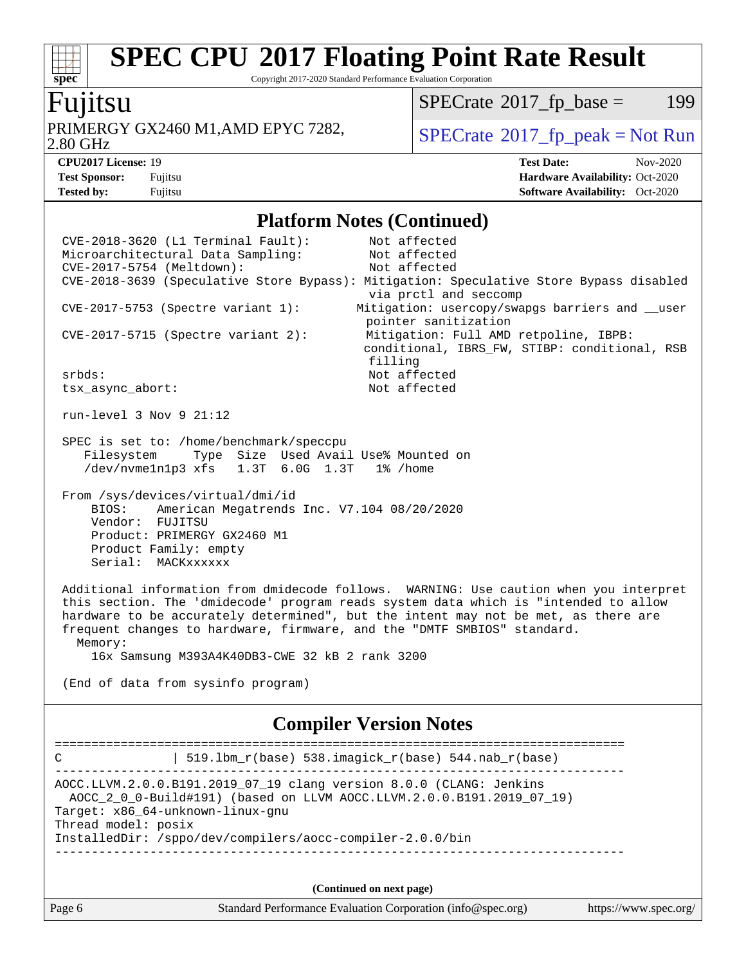Copyright 2017-2020 Standard Performance Evaluation Corporation

#### Fujitsu

**[spec](http://www.spec.org/)**

2.80 GHz PRIMERGY GX2460 M1,AMD EPYC 7282,  $\vert$  [SPECrate](http://www.spec.org/auto/cpu2017/Docs/result-fields.html#SPECrate2017fppeak) 2017 fp\_peak = Not Run

 $SPECTate@2017_fp\_base = 199$ 

**[CPU2017 License:](http://www.spec.org/auto/cpu2017/Docs/result-fields.html#CPU2017License)** 19 **[Test Date:](http://www.spec.org/auto/cpu2017/Docs/result-fields.html#TestDate)** Nov-2020 **[Test Sponsor:](http://www.spec.org/auto/cpu2017/Docs/result-fields.html#TestSponsor)** Fujitsu **[Hardware Availability:](http://www.spec.org/auto/cpu2017/Docs/result-fields.html#HardwareAvailability)** Oct-2020 **[Tested by:](http://www.spec.org/auto/cpu2017/Docs/result-fields.html#Testedby)** Fujitsu **[Software Availability:](http://www.spec.org/auto/cpu2017/Docs/result-fields.html#SoftwareAvailability)** Oct-2020

#### **[Platform Notes \(Continued\)](http://www.spec.org/auto/cpu2017/Docs/result-fields.html#PlatformNotes)**

Page 6 Standard Performance Evaluation Corporation [\(info@spec.org\)](mailto:info@spec.org) <https://www.spec.org/> CVE-2018-3620 (L1 Terminal Fault): Not affected Microarchitectural Data Sampling: Not affected CVE-2017-5754 (Meltdown): Not affected CVE-2018-3639 (Speculative Store Bypass): Mitigation: Speculative Store Bypass disabled via prctl and seccomp CVE-2017-5753 (Spectre variant 1): Mitigation: usercopy/swapgs barriers and \_\_user pointer sanitization CVE-2017-5715 (Spectre variant 2): Mitigation: Full AMD retpoline, IBPB: conditional, IBRS\_FW, STIBP: conditional, RSB filling srbds: Not affected tsx\_async\_abort: Not affected run-level 3 Nov 9 21:12 SPEC is set to: /home/benchmark/speccpu Filesystem Type Size Used Avail Use% Mounted on /dev/nvme1n1p3 xfs 1.3T 6.0G 1.3T 1% /home From /sys/devices/virtual/dmi/id BIOS: American Megatrends Inc. V7.104 08/20/2020 Vendor: FUJITSU Product: PRIMERGY GX2460 M1 Product Family: empty Serial: MACKxxxxxx Additional information from dmidecode follows. WARNING: Use caution when you interpret this section. The 'dmidecode' program reads system data which is "intended to allow hardware to be accurately determined", but the intent may not be met, as there are frequent changes to hardware, firmware, and the "DMTF SMBIOS" standard. Memory: 16x Samsung M393A4K40DB3-CWE 32 kB 2 rank 3200 (End of data from sysinfo program) **[Compiler Version Notes](http://www.spec.org/auto/cpu2017/Docs/result-fields.html#CompilerVersionNotes)** ============================================================================== C | 519.lbm\_r(base) 538.imagick\_r(base) 544.nab\_r(base) ------------------------------------------------------------------------------ AOCC.LLVM.2.0.0.B191.2019\_07\_19 clang version 8.0.0 (CLANG: Jenkins AOCC\_2\_0\_0-Build#191) (based on LLVM AOCC.LLVM.2.0.0.B191.2019\_07\_19) Target: x86\_64-unknown-linux-gnu Thread model: posix InstalledDir: /sppo/dev/compilers/aocc-compiler-2.0.0/bin ------------------------------------------------------------------------------ **(Continued on next page)**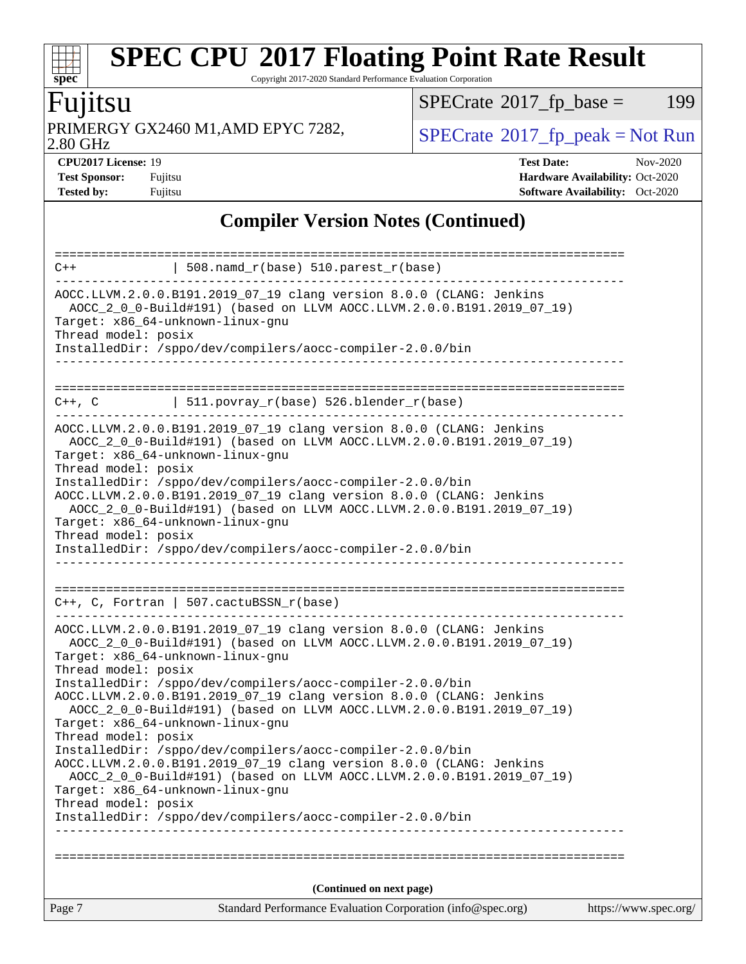Copyright 2017-2020 Standard Performance Evaluation Corporation

# Fujitsu

PRIMERGY GX2460 M1,AMD EPYC 7282,  $\big|$  [SPECrate](http://www.spec.org/auto/cpu2017/Docs/result-fields.html#SPECrate2017fppeak)®[2017\\_fp\\_peak = N](http://www.spec.org/auto/cpu2017/Docs/result-fields.html#SPECrate2017fppeak)ot Run

 $SPECTate$ <sup>®</sup>[2017\\_fp\\_base =](http://www.spec.org/auto/cpu2017/Docs/result-fields.html#SPECrate2017fpbase) 199

2.80 GHz

**[spec](http://www.spec.org/)**

**[CPU2017 License:](http://www.spec.org/auto/cpu2017/Docs/result-fields.html#CPU2017License)** 19 **[Test Date:](http://www.spec.org/auto/cpu2017/Docs/result-fields.html#TestDate)** Nov-2020 **[Test Sponsor:](http://www.spec.org/auto/cpu2017/Docs/result-fields.html#TestSponsor)** Fujitsu **[Hardware Availability:](http://www.spec.org/auto/cpu2017/Docs/result-fields.html#HardwareAvailability)** Oct-2020 **[Tested by:](http://www.spec.org/auto/cpu2017/Docs/result-fields.html#Testedby)** Fujitsu **[Software Availability:](http://www.spec.org/auto/cpu2017/Docs/result-fields.html#SoftwareAvailability)** Oct-2020

### **[Compiler Version Notes \(Continued\)](http://www.spec.org/auto/cpu2017/Docs/result-fields.html#CompilerVersionNotes)**

| $C++$                                                   | $\vert$ 508.namd_r(base) 510.parest_r(base)                                                                                                  |                       |
|---------------------------------------------------------|----------------------------------------------------------------------------------------------------------------------------------------------|-----------------------|
|                                                         | AOCC.LLVM.2.0.0.B191.2019_07_19 clang version 8.0.0 (CLANG: Jenkins                                                                          |                       |
| Target: x86 64-unknown-linux-gnu                        | AOCC_2_0_0-Build#191) (based on LLVM AOCC.LLVM.2.0.0.B191.2019_07_19)                                                                        |                       |
| Thread model: posix                                     |                                                                                                                                              |                       |
|                                                         | InstalledDir: /sppo/dev/compilers/aocc-compiler-2.0.0/bin<br>_____________________                                                           |                       |
|                                                         |                                                                                                                                              |                       |
|                                                         | $C++$ , C $\vert$ 511.povray_r(base) 526.blender_r(base)                                                                                     |                       |
| Target: x86_64-unknown-linux-gnu                        | AOCC.LLVM.2.0.0.B191.2019_07_19 clang version 8.0.0 (CLANG: Jenkins<br>AOCC_2_0_0-Build#191) (based on LLVM AOCC.LLVM.2.0.0.B191.2019_07_19) |                       |
| Thread model: posix                                     | InstalledDir: /sppo/dev/compilers/aocc-compiler-2.0.0/bin                                                                                    |                       |
|                                                         | AOCC.LLVM.2.0.0.B191.2019_07_19 clang version 8.0.0 (CLANG: Jenkins                                                                          |                       |
|                                                         | AOCC_2_0_0-Build#191) (based on LLVM AOCC.LLVM.2.0.0.B191.2019_07_19)                                                                        |                       |
| Target: x86_64-unknown-linux-gnu<br>Thread model: posix |                                                                                                                                              |                       |
|                                                         | InstalledDir: /sppo/dev/compilers/aocc-compiler-2.0.0/bin                                                                                    |                       |
|                                                         |                                                                                                                                              |                       |
|                                                         |                                                                                                                                              |                       |
|                                                         | $C++$ , C, Fortran   507.cactuBSSN_r(base)                                                                                                   |                       |
|                                                         | AOCC.LLVM.2.0.0.B191.2019_07_19 clang version 8.0.0 (CLANG: Jenkins                                                                          |                       |
|                                                         | AOCC_2_0_0-Build#191) (based on LLVM AOCC.LLVM.2.0.0.B191.2019_07_19)                                                                        |                       |
| Target: x86_64-unknown-linux-gnu<br>Thread model: posix |                                                                                                                                              |                       |
|                                                         | InstalledDir: /sppo/dev/compilers/aocc-compiler-2.0.0/bin                                                                                    |                       |
|                                                         | AOCC.LLVM.2.0.0.B191.2019_07_19 clang version 8.0.0 (CLANG: Jenkins                                                                          |                       |
| Target: x86_64-unknown-linux-gnu                        | AOCC_2_0_0-Build#191) (based on LLVM AOCC.LLVM.2.0.0.B191.2019_07_19)                                                                        |                       |
| Thread model: posix                                     |                                                                                                                                              |                       |
|                                                         | InstalledDir: /sppo/dev/compilers/aocc-compiler-2.0.0/bin                                                                                    |                       |
|                                                         | AOCC.LLVM.2.0.0.B191.2019_07_19 clang version 8.0.0 (CLANG: Jenkins                                                                          |                       |
|                                                         | AOCC_2_0_0-Build#191) (based on LLVM AOCC.LLVM.2.0.0.B191.2019_07_19)                                                                        |                       |
| Target: x86_64-unknown-linux-gnu                        |                                                                                                                                              |                       |
| Thread model: posix                                     | InstalledDir: /sppo/dev/compilers/aocc-compiler-2.0.0/bin                                                                                    |                       |
|                                                         |                                                                                                                                              |                       |
|                                                         |                                                                                                                                              |                       |
|                                                         | (Continued on next page)                                                                                                                     |                       |
| Page 7                                                  | Standard Performance Evaluation Corporation (info@spec.org)                                                                                  | https://www.spec.org/ |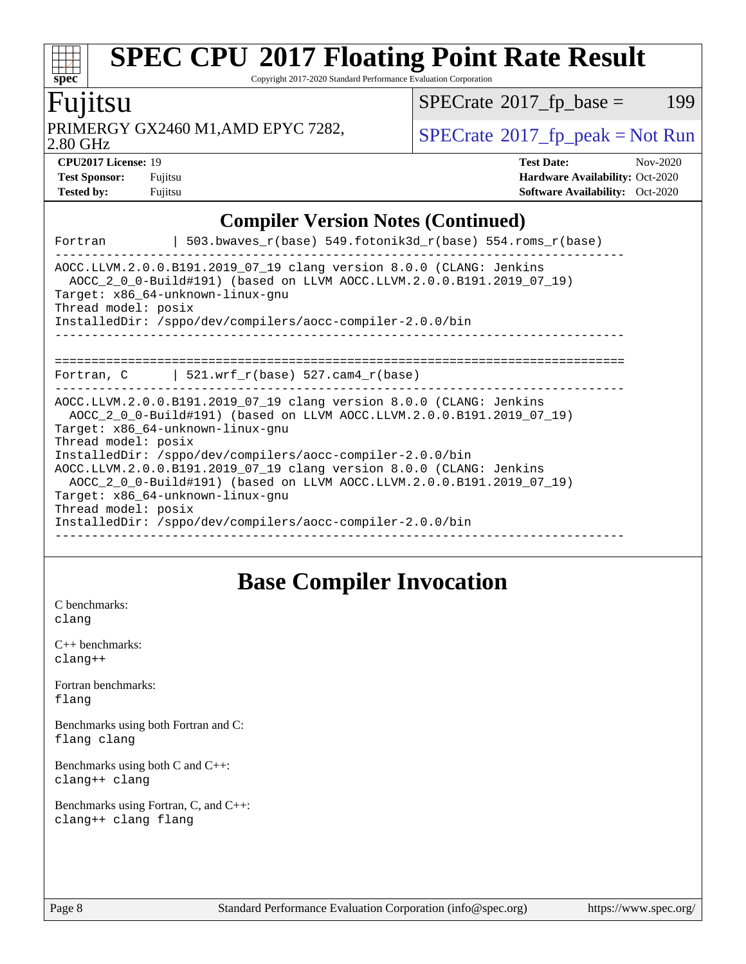Copyright 2017-2020 Standard Performance Evaluation Corporation

### Fujitsu

PRIMERGY GX2460 M1,AMD EPYC 7282,  $\big|$  [SPECrate](http://www.spec.org/auto/cpu2017/Docs/result-fields.html#SPECrate2017fppeak)®[2017\\_fp\\_peak = N](http://www.spec.org/auto/cpu2017/Docs/result-fields.html#SPECrate2017fppeak)ot Run

 $SPECTate@2017_fp\_base = 199$ 

2.80 GHz

**[spec](http://www.spec.org/)**

 $+\ +$ 

| <b>CPU2017 License: 19</b> |         | <b>Test Date:</b>                      | Nov-2020 |
|----------------------------|---------|----------------------------------------|----------|
| <b>Test Sponsor:</b>       | Fuiitsu | <b>Hardware Availability: Oct-2020</b> |          |
| <b>Tested by:</b>          | Fuiitsu | <b>Software Availability:</b> Oct-2020 |          |

**[CPU2017 License:](http://www.spec.org/auto/cpu2017/Docs/result-fields.html#CPU2017License)** 19 **[Test Date:](http://www.spec.org/auto/cpu2017/Docs/result-fields.html#TestDate)** Nov-2020 **[Test Sponsor:](http://www.spec.org/auto/cpu2017/Docs/result-fields.html#TestSponsor)** Fujitsu **[Hardware Availability:](http://www.spec.org/auto/cpu2017/Docs/result-fields.html#HardwareAvailability)** Oct-2020

### **[Compiler Version Notes \(Continued\)](http://www.spec.org/auto/cpu2017/Docs/result-fields.html#CompilerVersionNotes)**

| Fortran                                    | $\vert$ 503.bwaves_r(base) 549.fotonik3d_r(base) 554.roms_r(base)                                                                                                                                                                                                                                                                                                                                                                                                                              |
|--------------------------------------------|------------------------------------------------------------------------------------------------------------------------------------------------------------------------------------------------------------------------------------------------------------------------------------------------------------------------------------------------------------------------------------------------------------------------------------------------------------------------------------------------|
| Thread model: posix                        | AOCC.LLVM.2.0.0.B191.2019_07_19 clang version 8.0.0 (CLANG: Jenkins<br>AOCC_2_0_0-Build#191) (based on LLVM AOCC.LLVM.2.0.0.B191.2019_07_19)<br>Target: x86_64-unknown-linux-gnu<br>InstalledDir: /sppo/dev/compilers/aocc-compiler-2.0.0/bin                                                                                                                                                                                                                                                  |
|                                            | --------------------------------<br>Fortran, $C$   521.wrf $r(base)$ 527.cam4 $r(base)$                                                                                                                                                                                                                                                                                                                                                                                                        |
| Thread model: posix<br>Thread model: posix | AOCC.LLVM.2.0.0.B191.2019_07_19 clang version 8.0.0 (CLANG: Jenkins<br>AOCC_2_0_0-Build#191) (based on LLVM AOCC.LLVM.2.0.0.B191.2019_07_19)<br>Target: x86 64-unknown-linux-gnu<br>InstalledDir: /sppo/dev/compilers/aocc-compiler-2.0.0/bin<br>AOCC.LLVM.2.0.0.B191.2019_07_19 clang version 8.0.0 (CLANG: Jenkins<br>AOCC_2_0_0-Build#191) (based on LLVM AOCC.LLVM.2.0.0.B191.2019_07_19)<br>Target: x86_64-unknown-linux-gnu<br>InstalledDir: /sppo/dev/compilers/aocc-compiler-2.0.0/bin |

### **[Base Compiler Invocation](http://www.spec.org/auto/cpu2017/Docs/result-fields.html#BaseCompilerInvocation)**

[C benchmarks](http://www.spec.org/auto/cpu2017/Docs/result-fields.html#Cbenchmarks): [clang](http://www.spec.org/cpu2017/results/res2020q4/cpu2017-20201124-24486.flags.html#user_CCbase_clang-c)

| $C_{++}$ benchmarks: |  |
|----------------------|--|
| $clanq++$            |  |

[Fortran benchmarks](http://www.spec.org/auto/cpu2017/Docs/result-fields.html#Fortranbenchmarks): [flang](http://www.spec.org/cpu2017/results/res2020q4/cpu2017-20201124-24486.flags.html#user_FCbase_flang)

[Benchmarks using both Fortran and C](http://www.spec.org/auto/cpu2017/Docs/result-fields.html#BenchmarksusingbothFortranandC): [flang](http://www.spec.org/cpu2017/results/res2020q4/cpu2017-20201124-24486.flags.html#user_CC_FCbase_flang) [clang](http://www.spec.org/cpu2017/results/res2020q4/cpu2017-20201124-24486.flags.html#user_CC_FCbase_clang-c)

[Benchmarks using both C and C++](http://www.spec.org/auto/cpu2017/Docs/result-fields.html#BenchmarksusingbothCandCXX): [clang++](http://www.spec.org/cpu2017/results/res2020q4/cpu2017-20201124-24486.flags.html#user_CC_CXXbase_clang-cpp) [clang](http://www.spec.org/cpu2017/results/res2020q4/cpu2017-20201124-24486.flags.html#user_CC_CXXbase_clang-c)

[Benchmarks using Fortran, C, and C++:](http://www.spec.org/auto/cpu2017/Docs/result-fields.html#BenchmarksusingFortranCandCXX) [clang++](http://www.spec.org/cpu2017/results/res2020q4/cpu2017-20201124-24486.flags.html#user_CC_CXX_FCbase_clang-cpp) [clang](http://www.spec.org/cpu2017/results/res2020q4/cpu2017-20201124-24486.flags.html#user_CC_CXX_FCbase_clang-c) [flang](http://www.spec.org/cpu2017/results/res2020q4/cpu2017-20201124-24486.flags.html#user_CC_CXX_FCbase_flang)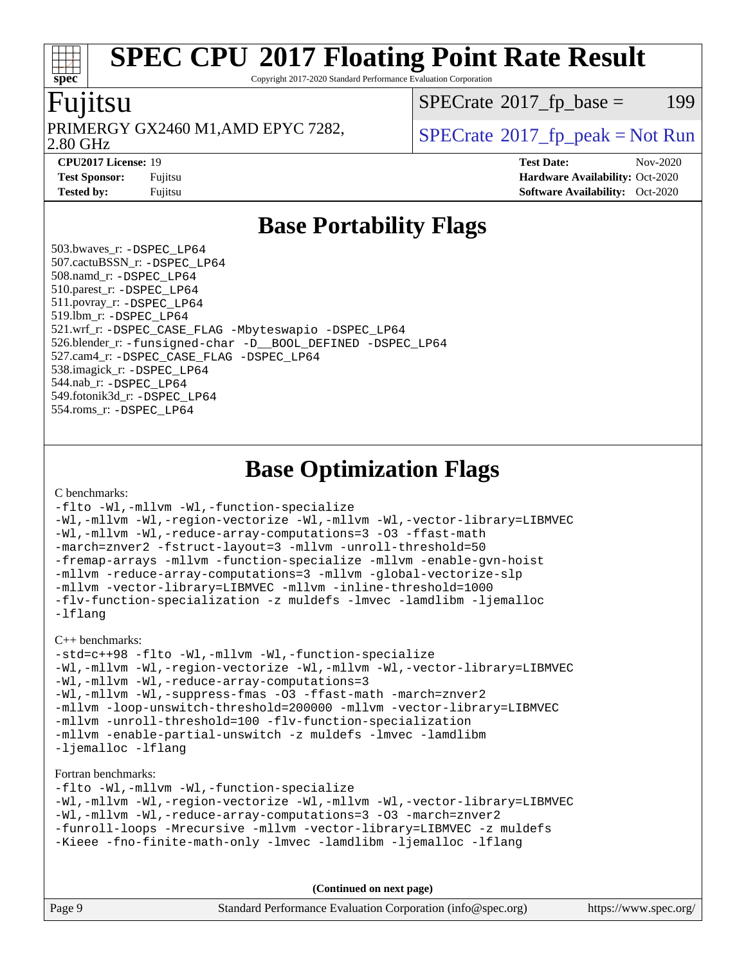Copyright 2017-2020 Standard Performance Evaluation Corporation

### Fujitsu

**[spec](http://www.spec.org/)**

2.80 GHz PRIMERGY GX2460 M1,AMD EPYC 7282,  $\vert$  [SPECrate](http://www.spec.org/auto/cpu2017/Docs/result-fields.html#SPECrate2017fppeak) 2017 fp peak = Not Run

 $SPECTate@2017_fp\_base = 199$ 

**[CPU2017 License:](http://www.spec.org/auto/cpu2017/Docs/result-fields.html#CPU2017License)** 19 **[Test Date:](http://www.spec.org/auto/cpu2017/Docs/result-fields.html#TestDate)** Nov-2020 **[Test Sponsor:](http://www.spec.org/auto/cpu2017/Docs/result-fields.html#TestSponsor)** Fujitsu **[Hardware Availability:](http://www.spec.org/auto/cpu2017/Docs/result-fields.html#HardwareAvailability)** Oct-2020 **[Tested by:](http://www.spec.org/auto/cpu2017/Docs/result-fields.html#Testedby)** Fujitsu **[Software Availability:](http://www.spec.org/auto/cpu2017/Docs/result-fields.html#SoftwareAvailability)** Oct-2020

### **[Base Portability Flags](http://www.spec.org/auto/cpu2017/Docs/result-fields.html#BasePortabilityFlags)**

 503.bwaves\_r: [-DSPEC\\_LP64](http://www.spec.org/cpu2017/results/res2020q4/cpu2017-20201124-24486.flags.html#suite_baseEXTRA_PORTABILITY503_bwaves_r_DSPEC_LP64) 507.cactuBSSN\_r: [-DSPEC\\_LP64](http://www.spec.org/cpu2017/results/res2020q4/cpu2017-20201124-24486.flags.html#suite_baseEXTRA_PORTABILITY507_cactuBSSN_r_DSPEC_LP64) 508.namd\_r: [-DSPEC\\_LP64](http://www.spec.org/cpu2017/results/res2020q4/cpu2017-20201124-24486.flags.html#suite_baseEXTRA_PORTABILITY508_namd_r_DSPEC_LP64) 510.parest\_r: [-DSPEC\\_LP64](http://www.spec.org/cpu2017/results/res2020q4/cpu2017-20201124-24486.flags.html#suite_baseEXTRA_PORTABILITY510_parest_r_DSPEC_LP64) 511.povray\_r: [-DSPEC\\_LP64](http://www.spec.org/cpu2017/results/res2020q4/cpu2017-20201124-24486.flags.html#suite_baseEXTRA_PORTABILITY511_povray_r_DSPEC_LP64) 519.lbm\_r: [-DSPEC\\_LP64](http://www.spec.org/cpu2017/results/res2020q4/cpu2017-20201124-24486.flags.html#suite_baseEXTRA_PORTABILITY519_lbm_r_DSPEC_LP64) 521.wrf\_r: [-DSPEC\\_CASE\\_FLAG](http://www.spec.org/cpu2017/results/res2020q4/cpu2017-20201124-24486.flags.html#b521.wrf_r_baseCPORTABILITY_DSPEC_CASE_FLAG) [-Mbyteswapio](http://www.spec.org/cpu2017/results/res2020q4/cpu2017-20201124-24486.flags.html#user_baseFPORTABILITY521_wrf_r_F-mbyteswapio_543c39ce38db59bcbc3b888917ef58c313007ae1c27520b689e012995ae261114051d1d5efcb4182d175ce22a6a15532d3a9999882dd2c360e6d853f41da6883) [-DSPEC\\_LP64](http://www.spec.org/cpu2017/results/res2020q4/cpu2017-20201124-24486.flags.html#suite_baseEXTRA_PORTABILITY521_wrf_r_DSPEC_LP64) 526.blender\_r: [-funsigned-char](http://www.spec.org/cpu2017/results/res2020q4/cpu2017-20201124-24486.flags.html#user_baseCPORTABILITY526_blender_r_aocc-unsigned-char) [-D\\_\\_BOOL\\_DEFINED](http://www.spec.org/cpu2017/results/res2020q4/cpu2017-20201124-24486.flags.html#b526.blender_r_baseCXXPORTABILITY_D__BOOL_DEFINED) [-DSPEC\\_LP64](http://www.spec.org/cpu2017/results/res2020q4/cpu2017-20201124-24486.flags.html#suite_baseEXTRA_PORTABILITY526_blender_r_DSPEC_LP64) 527.cam4\_r: [-DSPEC\\_CASE\\_FLAG](http://www.spec.org/cpu2017/results/res2020q4/cpu2017-20201124-24486.flags.html#b527.cam4_r_basePORTABILITY_DSPEC_CASE_FLAG) [-DSPEC\\_LP64](http://www.spec.org/cpu2017/results/res2020q4/cpu2017-20201124-24486.flags.html#suite_baseEXTRA_PORTABILITY527_cam4_r_DSPEC_LP64) 538.imagick\_r: [-DSPEC\\_LP64](http://www.spec.org/cpu2017/results/res2020q4/cpu2017-20201124-24486.flags.html#suite_baseEXTRA_PORTABILITY538_imagick_r_DSPEC_LP64) 544.nab\_r: [-DSPEC\\_LP64](http://www.spec.org/cpu2017/results/res2020q4/cpu2017-20201124-24486.flags.html#suite_baseEXTRA_PORTABILITY544_nab_r_DSPEC_LP64) 549.fotonik3d\_r: [-DSPEC\\_LP64](http://www.spec.org/cpu2017/results/res2020q4/cpu2017-20201124-24486.flags.html#suite_baseEXTRA_PORTABILITY549_fotonik3d_r_DSPEC_LP64) 554.roms\_r: [-DSPEC\\_LP64](http://www.spec.org/cpu2017/results/res2020q4/cpu2017-20201124-24486.flags.html#suite_baseEXTRA_PORTABILITY554_roms_r_DSPEC_LP64)

### **[Base Optimization Flags](http://www.spec.org/auto/cpu2017/Docs/result-fields.html#BaseOptimizationFlags)**

[C benchmarks](http://www.spec.org/auto/cpu2017/Docs/result-fields.html#Cbenchmarks):

```
-flto -Wl,-mllvm -Wl,-function-specialize
-Wl,-mllvm -Wl,-region-vectorize -Wl,-mllvm -Wl,-vector-library=LIBMVEC
-Wl,-mllvm -Wl,-reduce-array-computations=3 -O3 -ffast-math
-march=znver2 -fstruct-layout=3 -mllvm -unroll-threshold=50
-fremap-arrays -mllvm -function-specialize -mllvm -enable-gvn-hoist
-mllvm -reduce-array-computations=3 -mllvm -global-vectorize-slp
-mllvm -vector-library=LIBMVEC -mllvm -inline-threshold=1000
-flv-function-specialization -z muldefs -lmvec -lamdlibm -ljemalloc
-lflang
```
[C++ benchmarks:](http://www.spec.org/auto/cpu2017/Docs/result-fields.html#CXXbenchmarks)

```
-std=c++98 -flto -Wl,-mllvm -Wl,-function-specialize
-Wl,-mllvm -Wl,-region-vectorize -Wl,-mllvm -Wl,-vector-library=LIBMVEC
-Wl,-mllvm -Wl,-reduce-array-computations=3
-Wl,-mllvm -Wl,-suppress-fmas -O3 -ffast-math -march=znver2
-mllvm -loop-unswitch-threshold=200000 -mllvm -vector-library=LIBMVEC
-mllvm -unroll-threshold=100 -flv-function-specialization
-mllvm -enable-partial-unswitch -z muldefs -lmvec -lamdlibm
-ljemalloc -lflang
```
[Fortran benchmarks](http://www.spec.org/auto/cpu2017/Docs/result-fields.html#Fortranbenchmarks):

```
-flto -Wl,-mllvm -Wl,-function-specialize
-Wl,-mllvm -Wl,-region-vectorize -Wl,-mllvm -Wl,-vector-library=LIBMVEC
-Wl,-mllvm -Wl,-reduce-array-computations=3 -O3 -march=znver2
-funroll-loops -Mrecursive -mllvm -vector-library=LIBMVEC -z muldefs
-Kieee -fno-finite-math-only -lmvec -lamdlibm -ljemalloc -lflang
```
**(Continued on next page)**

|        | $\sqrt{2}$ $\sqrt{2}$ $\sqrt{2}$ $\sqrt{2}$ $\sqrt{2}$ $\sqrt{2}$ $\sqrt{2}$ $\sqrt{2}$ $\sqrt{2}$ $\sqrt{2}$ $\sqrt{2}$ $\sqrt{2}$ $\sqrt{2}$ $\sqrt{2}$ $\sqrt{2}$ $\sqrt{2}$ $\sqrt{2}$ $\sqrt{2}$ $\sqrt{2}$ $\sqrt{2}$ $\sqrt{2}$ $\sqrt{2}$ $\sqrt{2}$ $\sqrt{2}$ $\sqrt{2}$ $\sqrt{2}$ $\sqrt{2}$ $\sqrt{2$ |                       |
|--------|--------------------------------------------------------------------------------------------------------------------------------------------------------------------------------------------------------------------------------------------------------------------------------------------------------------------|-----------------------|
| Page 9 | Standard Performance Evaluation Corporation (info@spec.org)                                                                                                                                                                                                                                                        | https://www.spec.org/ |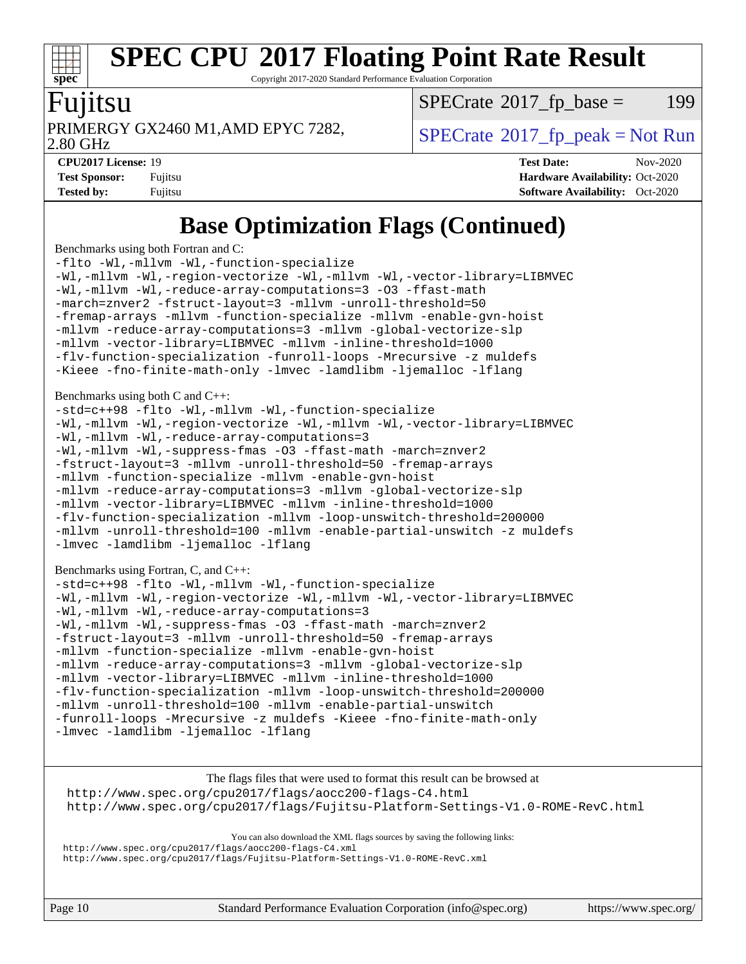# **[spec](http://www.spec.org/)**

# **[SPEC CPU](http://www.spec.org/auto/cpu2017/Docs/result-fields.html#SPECCPU2017FloatingPointRateResult)[2017 Floating Point Rate Result](http://www.spec.org/auto/cpu2017/Docs/result-fields.html#SPECCPU2017FloatingPointRateResult)**

Copyright 2017-2020 Standard Performance Evaluation Corporation

#### Fujitsu

 $SPECTate$ <sup>®</sup>[2017\\_fp\\_base =](http://www.spec.org/auto/cpu2017/Docs/result-fields.html#SPECrate2017fpbase) 199

2.80 GHz

PRIMERGY GX2460 M1,AMD EPYC 7282,  $\vert$  [SPECrate](http://www.spec.org/auto/cpu2017/Docs/result-fields.html#SPECrate2017fppeak) 2017 fp peak = Not Run

**[CPU2017 License:](http://www.spec.org/auto/cpu2017/Docs/result-fields.html#CPU2017License)** 19 **[Test Date:](http://www.spec.org/auto/cpu2017/Docs/result-fields.html#TestDate)** Nov-2020 **[Test Sponsor:](http://www.spec.org/auto/cpu2017/Docs/result-fields.html#TestSponsor)** Fujitsu **[Hardware Availability:](http://www.spec.org/auto/cpu2017/Docs/result-fields.html#HardwareAvailability)** Oct-2020 **[Tested by:](http://www.spec.org/auto/cpu2017/Docs/result-fields.html#Testedby)** Fujitsu **[Software Availability:](http://www.spec.org/auto/cpu2017/Docs/result-fields.html#SoftwareAvailability)** Oct-2020

### **[Base Optimization Flags \(Continued\)](http://www.spec.org/auto/cpu2017/Docs/result-fields.html#BaseOptimizationFlags)**

[Benchmarks using both Fortran and C](http://www.spec.org/auto/cpu2017/Docs/result-fields.html#BenchmarksusingbothFortranandC):

[-flto](http://www.spec.org/cpu2017/results/res2020q4/cpu2017-20201124-24486.flags.html#user_CC_FCbase_aocc-flto) [-Wl,-mllvm -Wl,-function-specialize](http://www.spec.org/cpu2017/results/res2020q4/cpu2017-20201124-24486.flags.html#user_CC_FCbase_F-function-specialize_7e7e661e57922243ee67c9a1251cb8910e607325179a0ce7f2884e09a6f5d4a5ef0ae4f37e8a2a11c95fc48e931f06dc2b6016f14b511fcb441e048bef1b065a) [-Wl,-mllvm -Wl,-region-vectorize](http://www.spec.org/cpu2017/results/res2020q4/cpu2017-20201124-24486.flags.html#user_CC_FCbase_F-region-vectorize_fb6c6b5aa293c88efc6c7c2b52b20755e943585b1fe8658c35afef78727fff56e1a56891413c30e36b8e2a6f9a71126986319243e80eb6110b78b288f533c52b) [-Wl,-mllvm -Wl,-vector-library=LIBMVEC](http://www.spec.org/cpu2017/results/res2020q4/cpu2017-20201124-24486.flags.html#user_CC_FCbase_F-use-vector-library_0a14b27fae317f283640384a31f7bfcc2bd4c1d0b5cfc618a3a430800c9b20217b00f61303eff223a3251b4f06ffbc9739dc5296db9d1fbb9ad24a3939d86d66) [-Wl,-mllvm -Wl,-reduce-array-computations=3](http://www.spec.org/cpu2017/results/res2020q4/cpu2017-20201124-24486.flags.html#user_CC_FCbase_F-reduce-array-computations_b882aefe7a5dda4e33149f6299762b9a720dace3e498e13756f4c04e5a19edf5315c1f3993de2e61ec41e8c206231f84e05da7040e1bb5d69ba27d10a12507e4) [-O3](http://www.spec.org/cpu2017/results/res2020q4/cpu2017-20201124-24486.flags.html#user_CC_FCbase_F-O3) [-ffast-math](http://www.spec.org/cpu2017/results/res2020q4/cpu2017-20201124-24486.flags.html#user_CC_FCbase_aocc-ffast-math) [-march=znver2](http://www.spec.org/cpu2017/results/res2020q4/cpu2017-20201124-24486.flags.html#user_CC_FCbase_aocc-march_3e2e19cff2eeef60c5d90b059483627c9ea47eca6d66670dbd53f9185f6439e27eb5e104cf773e9e8ab18c8842ce63e461a3e948d0214bd567ef3ade411bf467) [-fstruct-layout=3](http://www.spec.org/cpu2017/results/res2020q4/cpu2017-20201124-24486.flags.html#user_CC_FCbase_F-struct-layout) [-mllvm -unroll-threshold=50](http://www.spec.org/cpu2017/results/res2020q4/cpu2017-20201124-24486.flags.html#user_CC_FCbase_F-unroll-threshold_458874500b2c105d6d5cb4d7a611c40e2b16e9e3d26b355fea72d644c3673b4de4b3932662f0ed3dbec75c491a13da2d2ca81180bd779dc531083ef1e1e549dc) [-fremap-arrays](http://www.spec.org/cpu2017/results/res2020q4/cpu2017-20201124-24486.flags.html#user_CC_FCbase_F-fremap-arrays) [-mllvm -function-specialize](http://www.spec.org/cpu2017/results/res2020q4/cpu2017-20201124-24486.flags.html#user_CC_FCbase_F-function-specialize_233b3bdba86027f1b094368157e481c5bc59f40286dc25bfadc1858dcd5745c24fd30d5f188710db7fea399bcc9f44a80b3ce3aacc70a8870250c3ae5e1f35b8) [-mllvm -enable-gvn-hoist](http://www.spec.org/cpu2017/results/res2020q4/cpu2017-20201124-24486.flags.html#user_CC_FCbase_F-enable-gvn-hoist_e5856354646dd6ca1333a0ad99b817e4cf8932b91b82809fd8fd47ceff7b22a89eba5c98fd3e3fa5200368fd772cec3dd56abc3c8f7b655a71b9f9848dddedd5) [-mllvm -reduce-array-computations=3](http://www.spec.org/cpu2017/results/res2020q4/cpu2017-20201124-24486.flags.html#user_CC_FCbase_F-reduce-array-computations_aceadb8604558b566e0e3a0d7a3c1533923dd1fa0889614e16288028922629a28d5695c24d3b3be4306b1e311c54317dfffe3a2e57fbcaabc737a1798de39145) [-mllvm -global-vectorize-slp](http://www.spec.org/cpu2017/results/res2020q4/cpu2017-20201124-24486.flags.html#user_CC_FCbase_F-global-vectorize-slp_a3935e8627af4ced727033b1ffd4db27f4d541a363d28d82bf4c2925fb3a0fd4115d6e42d13a2829f9e024d6608eb67a85cb49770f2da5c5ac8dbc737afad603) [-mllvm -vector-library=LIBMVEC](http://www.spec.org/cpu2017/results/res2020q4/cpu2017-20201124-24486.flags.html#user_CC_FCbase_F-use-vector-library_e584e20b4f7ec96aa109254b65d8e01d864f3d68580371b9d93ed7c338191d4cfce20c3c864632264effc6bbe4c7c38153d02096a342ee92501c4a53204a7871) [-mllvm -inline-threshold=1000](http://www.spec.org/cpu2017/results/res2020q4/cpu2017-20201124-24486.flags.html#user_CC_FCbase_dragonegg-llvm-inline-threshold_b7832241b0a6397e4ecdbaf0eb7defdc10f885c2a282fa3240fdc99844d543fda39cf8a4a9dccf68cf19b5438ac3b455264f478df15da0f4988afa40d8243bab) [-flv-function-specialization](http://www.spec.org/cpu2017/results/res2020q4/cpu2017-20201124-24486.flags.html#user_CC_FCbase_F-flv-function-specialization) [-funroll-loops](http://www.spec.org/cpu2017/results/res2020q4/cpu2017-20201124-24486.flags.html#user_CC_FCbase_aocc-unroll-loops) [-Mrecursive](http://www.spec.org/cpu2017/results/res2020q4/cpu2017-20201124-24486.flags.html#user_CC_FCbase_F-mrecursive_20a145d63f12d5750a899e17d4450b5b8b40330a9bb4af13688ca650e6fb30857bbbe44fb35cdbb895df6e5b2769de0a0d7659f51ff17acfbef6febafec4023f) [-z muldefs](http://www.spec.org/cpu2017/results/res2020q4/cpu2017-20201124-24486.flags.html#user_CC_FCbase_aocc-muldefs) [-Kieee](http://www.spec.org/cpu2017/results/res2020q4/cpu2017-20201124-24486.flags.html#user_CC_FCbase_F-kieee) [-fno-finite-math-only](http://www.spec.org/cpu2017/results/res2020q4/cpu2017-20201124-24486.flags.html#user_CC_FCbase_aocc-fno-finite-math-only) [-lmvec](http://www.spec.org/cpu2017/results/res2020q4/cpu2017-20201124-24486.flags.html#user_CC_FCbase_F-lmvec) [-lamdlibm](http://www.spec.org/cpu2017/results/res2020q4/cpu2017-20201124-24486.flags.html#user_CC_FCbase_F-lamdlibm) [-ljemalloc](http://www.spec.org/cpu2017/results/res2020q4/cpu2017-20201124-24486.flags.html#user_CC_FCbase_jemalloc-lib) [-lflang](http://www.spec.org/cpu2017/results/res2020q4/cpu2017-20201124-24486.flags.html#user_CC_FCbase_F-lflang) [Benchmarks using both C and C++](http://www.spec.org/auto/cpu2017/Docs/result-fields.html#BenchmarksusingbothCandCXX): [-std=c++98](http://www.spec.org/cpu2017/results/res2020q4/cpu2017-20201124-24486.flags.html#user_CC_CXXbase_std-cpp) [-flto](http://www.spec.org/cpu2017/results/res2020q4/cpu2017-20201124-24486.flags.html#user_CC_CXXbase_aocc-flto) [-Wl,-mllvm -Wl,-function-specialize](http://www.spec.org/cpu2017/results/res2020q4/cpu2017-20201124-24486.flags.html#user_CC_CXXbase_F-function-specialize_7e7e661e57922243ee67c9a1251cb8910e607325179a0ce7f2884e09a6f5d4a5ef0ae4f37e8a2a11c95fc48e931f06dc2b6016f14b511fcb441e048bef1b065a) [-Wl,-mllvm -Wl,-region-vectorize](http://www.spec.org/cpu2017/results/res2020q4/cpu2017-20201124-24486.flags.html#user_CC_CXXbase_F-region-vectorize_fb6c6b5aa293c88efc6c7c2b52b20755e943585b1fe8658c35afef78727fff56e1a56891413c30e36b8e2a6f9a71126986319243e80eb6110b78b288f533c52b) [-Wl,-mllvm -Wl,-vector-library=LIBMVEC](http://www.spec.org/cpu2017/results/res2020q4/cpu2017-20201124-24486.flags.html#user_CC_CXXbase_F-use-vector-library_0a14b27fae317f283640384a31f7bfcc2bd4c1d0b5cfc618a3a430800c9b20217b00f61303eff223a3251b4f06ffbc9739dc5296db9d1fbb9ad24a3939d86d66) [-Wl,-mllvm -Wl,-reduce-array-computations=3](http://www.spec.org/cpu2017/results/res2020q4/cpu2017-20201124-24486.flags.html#user_CC_CXXbase_F-reduce-array-computations_b882aefe7a5dda4e33149f6299762b9a720dace3e498e13756f4c04e5a19edf5315c1f3993de2e61ec41e8c206231f84e05da7040e1bb5d69ba27d10a12507e4) [-Wl,-mllvm -Wl,-suppress-fmas](http://www.spec.org/cpu2017/results/res2020q4/cpu2017-20201124-24486.flags.html#user_CC_CXXbase_F-suppress-fmas_f00f00630e4a059e8af9c161e9bbf420bcf19890a7f99d5933525e66aa4b0bb3ab2339d2b12d97d3a5f5d271e839fe9c109938e91fe06230fb53651590cfa1e8) [-O3](http://www.spec.org/cpu2017/results/res2020q4/cpu2017-20201124-24486.flags.html#user_CC_CXXbase_F-O3) [-ffast-math](http://www.spec.org/cpu2017/results/res2020q4/cpu2017-20201124-24486.flags.html#user_CC_CXXbase_aocc-ffast-math) [-march=znver2](http://www.spec.org/cpu2017/results/res2020q4/cpu2017-20201124-24486.flags.html#user_CC_CXXbase_aocc-march_3e2e19cff2eeef60c5d90b059483627c9ea47eca6d66670dbd53f9185f6439e27eb5e104cf773e9e8ab18c8842ce63e461a3e948d0214bd567ef3ade411bf467) [-fstruct-layout=3](http://www.spec.org/cpu2017/results/res2020q4/cpu2017-20201124-24486.flags.html#user_CC_CXXbase_F-struct-layout) [-mllvm -unroll-threshold=50](http://www.spec.org/cpu2017/results/res2020q4/cpu2017-20201124-24486.flags.html#user_CC_CXXbase_F-unroll-threshold_458874500b2c105d6d5cb4d7a611c40e2b16e9e3d26b355fea72d644c3673b4de4b3932662f0ed3dbec75c491a13da2d2ca81180bd779dc531083ef1e1e549dc) [-fremap-arrays](http://www.spec.org/cpu2017/results/res2020q4/cpu2017-20201124-24486.flags.html#user_CC_CXXbase_F-fremap-arrays) [-mllvm -function-specialize](http://www.spec.org/cpu2017/results/res2020q4/cpu2017-20201124-24486.flags.html#user_CC_CXXbase_F-function-specialize_233b3bdba86027f1b094368157e481c5bc59f40286dc25bfadc1858dcd5745c24fd30d5f188710db7fea399bcc9f44a80b3ce3aacc70a8870250c3ae5e1f35b8) [-mllvm -enable-gvn-hoist](http://www.spec.org/cpu2017/results/res2020q4/cpu2017-20201124-24486.flags.html#user_CC_CXXbase_F-enable-gvn-hoist_e5856354646dd6ca1333a0ad99b817e4cf8932b91b82809fd8fd47ceff7b22a89eba5c98fd3e3fa5200368fd772cec3dd56abc3c8f7b655a71b9f9848dddedd5) [-mllvm -reduce-array-computations=3](http://www.spec.org/cpu2017/results/res2020q4/cpu2017-20201124-24486.flags.html#user_CC_CXXbase_F-reduce-array-computations_aceadb8604558b566e0e3a0d7a3c1533923dd1fa0889614e16288028922629a28d5695c24d3b3be4306b1e311c54317dfffe3a2e57fbcaabc737a1798de39145) [-mllvm -global-vectorize-slp](http://www.spec.org/cpu2017/results/res2020q4/cpu2017-20201124-24486.flags.html#user_CC_CXXbase_F-global-vectorize-slp_a3935e8627af4ced727033b1ffd4db27f4d541a363d28d82bf4c2925fb3a0fd4115d6e42d13a2829f9e024d6608eb67a85cb49770f2da5c5ac8dbc737afad603) [-mllvm -vector-library=LIBMVEC](http://www.spec.org/cpu2017/results/res2020q4/cpu2017-20201124-24486.flags.html#user_CC_CXXbase_F-use-vector-library_e584e20b4f7ec96aa109254b65d8e01d864f3d68580371b9d93ed7c338191d4cfce20c3c864632264effc6bbe4c7c38153d02096a342ee92501c4a53204a7871) [-mllvm -inline-threshold=1000](http://www.spec.org/cpu2017/results/res2020q4/cpu2017-20201124-24486.flags.html#user_CC_CXXbase_dragonegg-llvm-inline-threshold_b7832241b0a6397e4ecdbaf0eb7defdc10f885c2a282fa3240fdc99844d543fda39cf8a4a9dccf68cf19b5438ac3b455264f478df15da0f4988afa40d8243bab) [-flv-function-specialization](http://www.spec.org/cpu2017/results/res2020q4/cpu2017-20201124-24486.flags.html#user_CC_CXXbase_F-flv-function-specialization) [-mllvm -loop-unswitch-threshold=200000](http://www.spec.org/cpu2017/results/res2020q4/cpu2017-20201124-24486.flags.html#user_CC_CXXbase_F-loop-unswitch-threshold_f9a82ae3270e55b5fbf79d0d96ee93606b73edbbe527d20b18b7bff1a3a146ad50cfc7454c5297978340ae9213029016a7d16221274d672d3f7f42ed25274e1d) [-mllvm -unroll-threshold=100](http://www.spec.org/cpu2017/results/res2020q4/cpu2017-20201124-24486.flags.html#user_CC_CXXbase_F-unroll-threshold_2755d0c78138845d361fa1543e3a063fffa198df9b3edf0cfb856bbc88a81e1769b12ac7a550c5d35197be55360db1a3f95a8d1304df999456cabf5120c45168) [-mllvm -enable-partial-unswitch](http://www.spec.org/cpu2017/results/res2020q4/cpu2017-20201124-24486.flags.html#user_CC_CXXbase_F-enable-partial-unswitch_6e1c33f981d77963b1eaf834973128a7f33ce3f8e27f54689656697a35e89dcc875281e0e6283d043e32f367dcb605ba0e307a92e830f7e326789fa6c61b35d3) [-z muldefs](http://www.spec.org/cpu2017/results/res2020q4/cpu2017-20201124-24486.flags.html#user_CC_CXXbase_aocc-muldefs) [-lmvec](http://www.spec.org/cpu2017/results/res2020q4/cpu2017-20201124-24486.flags.html#user_CC_CXXbase_F-lmvec) [-lamdlibm](http://www.spec.org/cpu2017/results/res2020q4/cpu2017-20201124-24486.flags.html#user_CC_CXXbase_F-lamdlibm) [-ljemalloc](http://www.spec.org/cpu2017/results/res2020q4/cpu2017-20201124-24486.flags.html#user_CC_CXXbase_jemalloc-lib) [-lflang](http://www.spec.org/cpu2017/results/res2020q4/cpu2017-20201124-24486.flags.html#user_CC_CXXbase_F-lflang) [Benchmarks using Fortran, C, and C++:](http://www.spec.org/auto/cpu2017/Docs/result-fields.html#BenchmarksusingFortranCandCXX) [-std=c++98](http://www.spec.org/cpu2017/results/res2020q4/cpu2017-20201124-24486.flags.html#user_CC_CXX_FCbase_std-cpp) [-flto](http://www.spec.org/cpu2017/results/res2020q4/cpu2017-20201124-24486.flags.html#user_CC_CXX_FCbase_aocc-flto) [-Wl,-mllvm -Wl,-function-specialize](http://www.spec.org/cpu2017/results/res2020q4/cpu2017-20201124-24486.flags.html#user_CC_CXX_FCbase_F-function-specialize_7e7e661e57922243ee67c9a1251cb8910e607325179a0ce7f2884e09a6f5d4a5ef0ae4f37e8a2a11c95fc48e931f06dc2b6016f14b511fcb441e048bef1b065a) [-Wl,-mllvm -Wl,-region-vectorize](http://www.spec.org/cpu2017/results/res2020q4/cpu2017-20201124-24486.flags.html#user_CC_CXX_FCbase_F-region-vectorize_fb6c6b5aa293c88efc6c7c2b52b20755e943585b1fe8658c35afef78727fff56e1a56891413c30e36b8e2a6f9a71126986319243e80eb6110b78b288f533c52b) [-Wl,-mllvm -Wl,-vector-library=LIBMVEC](http://www.spec.org/cpu2017/results/res2020q4/cpu2017-20201124-24486.flags.html#user_CC_CXX_FCbase_F-use-vector-library_0a14b27fae317f283640384a31f7bfcc2bd4c1d0b5cfc618a3a430800c9b20217b00f61303eff223a3251b4f06ffbc9739dc5296db9d1fbb9ad24a3939d86d66) [-Wl,-mllvm -Wl,-reduce-array-computations=3](http://www.spec.org/cpu2017/results/res2020q4/cpu2017-20201124-24486.flags.html#user_CC_CXX_FCbase_F-reduce-array-computations_b882aefe7a5dda4e33149f6299762b9a720dace3e498e13756f4c04e5a19edf5315c1f3993de2e61ec41e8c206231f84e05da7040e1bb5d69ba27d10a12507e4) [-Wl,-mllvm -Wl,-suppress-fmas](http://www.spec.org/cpu2017/results/res2020q4/cpu2017-20201124-24486.flags.html#user_CC_CXX_FCbase_F-suppress-fmas_f00f00630e4a059e8af9c161e9bbf420bcf19890a7f99d5933525e66aa4b0bb3ab2339d2b12d97d3a5f5d271e839fe9c109938e91fe06230fb53651590cfa1e8) [-O3](http://www.spec.org/cpu2017/results/res2020q4/cpu2017-20201124-24486.flags.html#user_CC_CXX_FCbase_F-O3) [-ffast-math](http://www.spec.org/cpu2017/results/res2020q4/cpu2017-20201124-24486.flags.html#user_CC_CXX_FCbase_aocc-ffast-math) [-march=znver2](http://www.spec.org/cpu2017/results/res2020q4/cpu2017-20201124-24486.flags.html#user_CC_CXX_FCbase_aocc-march_3e2e19cff2eeef60c5d90b059483627c9ea47eca6d66670dbd53f9185f6439e27eb5e104cf773e9e8ab18c8842ce63e461a3e948d0214bd567ef3ade411bf467) [-fstruct-layout=3](http://www.spec.org/cpu2017/results/res2020q4/cpu2017-20201124-24486.flags.html#user_CC_CXX_FCbase_F-struct-layout) [-mllvm -unroll-threshold=50](http://www.spec.org/cpu2017/results/res2020q4/cpu2017-20201124-24486.flags.html#user_CC_CXX_FCbase_F-unroll-threshold_458874500b2c105d6d5cb4d7a611c40e2b16e9e3d26b355fea72d644c3673b4de4b3932662f0ed3dbec75c491a13da2d2ca81180bd779dc531083ef1e1e549dc) [-fremap-arrays](http://www.spec.org/cpu2017/results/res2020q4/cpu2017-20201124-24486.flags.html#user_CC_CXX_FCbase_F-fremap-arrays) [-mllvm -function-specialize](http://www.spec.org/cpu2017/results/res2020q4/cpu2017-20201124-24486.flags.html#user_CC_CXX_FCbase_F-function-specialize_233b3bdba86027f1b094368157e481c5bc59f40286dc25bfadc1858dcd5745c24fd30d5f188710db7fea399bcc9f44a80b3ce3aacc70a8870250c3ae5e1f35b8) [-mllvm -enable-gvn-hoist](http://www.spec.org/cpu2017/results/res2020q4/cpu2017-20201124-24486.flags.html#user_CC_CXX_FCbase_F-enable-gvn-hoist_e5856354646dd6ca1333a0ad99b817e4cf8932b91b82809fd8fd47ceff7b22a89eba5c98fd3e3fa5200368fd772cec3dd56abc3c8f7b655a71b9f9848dddedd5) [-mllvm -reduce-array-computations=3](http://www.spec.org/cpu2017/results/res2020q4/cpu2017-20201124-24486.flags.html#user_CC_CXX_FCbase_F-reduce-array-computations_aceadb8604558b566e0e3a0d7a3c1533923dd1fa0889614e16288028922629a28d5695c24d3b3be4306b1e311c54317dfffe3a2e57fbcaabc737a1798de39145) [-mllvm -global-vectorize-slp](http://www.spec.org/cpu2017/results/res2020q4/cpu2017-20201124-24486.flags.html#user_CC_CXX_FCbase_F-global-vectorize-slp_a3935e8627af4ced727033b1ffd4db27f4d541a363d28d82bf4c2925fb3a0fd4115d6e42d13a2829f9e024d6608eb67a85cb49770f2da5c5ac8dbc737afad603)

[-mllvm -vector-library=LIBMVEC](http://www.spec.org/cpu2017/results/res2020q4/cpu2017-20201124-24486.flags.html#user_CC_CXX_FCbase_F-use-vector-library_e584e20b4f7ec96aa109254b65d8e01d864f3d68580371b9d93ed7c338191d4cfce20c3c864632264effc6bbe4c7c38153d02096a342ee92501c4a53204a7871) [-mllvm -inline-threshold=1000](http://www.spec.org/cpu2017/results/res2020q4/cpu2017-20201124-24486.flags.html#user_CC_CXX_FCbase_dragonegg-llvm-inline-threshold_b7832241b0a6397e4ecdbaf0eb7defdc10f885c2a282fa3240fdc99844d543fda39cf8a4a9dccf68cf19b5438ac3b455264f478df15da0f4988afa40d8243bab) [-flv-function-specialization](http://www.spec.org/cpu2017/results/res2020q4/cpu2017-20201124-24486.flags.html#user_CC_CXX_FCbase_F-flv-function-specialization) [-mllvm -loop-unswitch-threshold=200000](http://www.spec.org/cpu2017/results/res2020q4/cpu2017-20201124-24486.flags.html#user_CC_CXX_FCbase_F-loop-unswitch-threshold_f9a82ae3270e55b5fbf79d0d96ee93606b73edbbe527d20b18b7bff1a3a146ad50cfc7454c5297978340ae9213029016a7d16221274d672d3f7f42ed25274e1d) [-mllvm -unroll-threshold=100](http://www.spec.org/cpu2017/results/res2020q4/cpu2017-20201124-24486.flags.html#user_CC_CXX_FCbase_F-unroll-threshold_2755d0c78138845d361fa1543e3a063fffa198df9b3edf0cfb856bbc88a81e1769b12ac7a550c5d35197be55360db1a3f95a8d1304df999456cabf5120c45168) [-mllvm -enable-partial-unswitch](http://www.spec.org/cpu2017/results/res2020q4/cpu2017-20201124-24486.flags.html#user_CC_CXX_FCbase_F-enable-partial-unswitch_6e1c33f981d77963b1eaf834973128a7f33ce3f8e27f54689656697a35e89dcc875281e0e6283d043e32f367dcb605ba0e307a92e830f7e326789fa6c61b35d3) [-funroll-loops](http://www.spec.org/cpu2017/results/res2020q4/cpu2017-20201124-24486.flags.html#user_CC_CXX_FCbase_aocc-unroll-loops) [-Mrecursive](http://www.spec.org/cpu2017/results/res2020q4/cpu2017-20201124-24486.flags.html#user_CC_CXX_FCbase_F-mrecursive_20a145d63f12d5750a899e17d4450b5b8b40330a9bb4af13688ca650e6fb30857bbbe44fb35cdbb895df6e5b2769de0a0d7659f51ff17acfbef6febafec4023f) [-z muldefs](http://www.spec.org/cpu2017/results/res2020q4/cpu2017-20201124-24486.flags.html#user_CC_CXX_FCbase_aocc-muldefs) [-Kieee](http://www.spec.org/cpu2017/results/res2020q4/cpu2017-20201124-24486.flags.html#user_CC_CXX_FCbase_F-kieee) [-fno-finite-math-only](http://www.spec.org/cpu2017/results/res2020q4/cpu2017-20201124-24486.flags.html#user_CC_CXX_FCbase_aocc-fno-finite-math-only)

[-lmvec](http://www.spec.org/cpu2017/results/res2020q4/cpu2017-20201124-24486.flags.html#user_CC_CXX_FCbase_F-lmvec) [-lamdlibm](http://www.spec.org/cpu2017/results/res2020q4/cpu2017-20201124-24486.flags.html#user_CC_CXX_FCbase_F-lamdlibm) [-ljemalloc](http://www.spec.org/cpu2017/results/res2020q4/cpu2017-20201124-24486.flags.html#user_CC_CXX_FCbase_jemalloc-lib) [-lflang](http://www.spec.org/cpu2017/results/res2020q4/cpu2017-20201124-24486.flags.html#user_CC_CXX_FCbase_F-lflang)

[The flags files that were used to format this result can be browsed at](tmsearch) <http://www.spec.org/cpu2017/flags/aocc200-flags-C4.html> <http://www.spec.org/cpu2017/flags/Fujitsu-Platform-Settings-V1.0-ROME-RevC.html>

[You can also download the XML flags sources by saving the following links:](tmsearch) <http://www.spec.org/cpu2017/flags/aocc200-flags-C4.xml> <http://www.spec.org/cpu2017/flags/Fujitsu-Platform-Settings-V1.0-ROME-RevC.xml>

Page 10 Standard Performance Evaluation Corporation [\(info@spec.org\)](mailto:info@spec.org) <https://www.spec.org/>